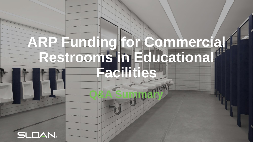Q&A Summary

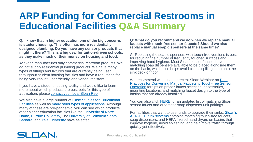**Q: I know that in higher education one of the big concerns is student housing. This often has more residentially designed plumbing. Do you have any sensor products that might fit there? This is a big deal for tuition-driven schools, as they make much of their money on housing and food.** 

**A:** Sloan manufactures only commercial restroom products. We do not supply residential plumbing products. We have many types of fittings and fixtures that are currently being used throughout student housing facilities and have a reputation for being very robust, user friendly, and vandal resistant.

If you have a student housing facility and would like to learn more about which products are best bets for this type of application, please [contact your local Sloan Rep.](https://www.sloan.com/company/support/where-to-buy)

We also have a large number of Case Studies for Educational **Facilities** as well as [many other types of applications](https://www.sloan.com/design/installations/case-studies). Although many of these are pre-pandemic, you can see which products other higher education facilities like the University of Notre [Dame, Purdue University, The University of California San](https://www.sloan.com/design/installations/case-studies/education/university-notre-dame)[ta](https://www.sloan.com/design/installations/case-studies/education/university-california-santa-barbara) Barbara, and [Yale University](https://www.sloan.com/design/installations/case-studies/education/yale-university) have selected.

**Q: What do you recommend we do when we replace manual faucets with touch-free sensor faucets? Should we also replace manual soap dispensers at the same time?** 

**A:** Replacing the soap dispensers with touch-free versions is best for reducing the number of frequently touched surfaces and improving hand hygiene. Most Sloan sensor faucets have matching soap dispensers available to be placed alongside them on the basin, which also helps avoid clients spilling soap onto the sink deck or floor.

We recommend watching the recent Sloan Webinar on **Best** [Practices for Converting Manual Faucets to Touch-free Sensor](https://www.sloan.com/resources/education/webinars/replacing-manual-faucets-touch-free-automatic-sensor-faucets)  Operation for tips on proper faucet selection, accessories, mounting locations, and matching faucet design to the type of basins that are already installed.

You can also click [HERE](https://www.sloan.com/commercial-bathroom-products/faucet-soap-dispenser-combos/browse) for an updated list of matching Sloan sensor faucet and automatic soap dispenser unit pairings.

[For facilities that want to use funds to upgrade their sinks, Sloan's](https://www.sloan.com/commercial-bathroom-products/sinks/aer-dec) AER-DEC sink systems combine matching touch-free faucets, soap dispensers, and HEPA filtered hand dryers on basins that improve hygiene, avoid splashing, and help move traffic through quickly yet effectively.

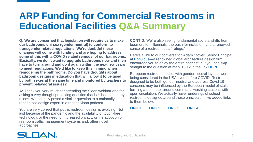**Q: We are concerned that legislation will require us to make our bathrooms uni-sex (gender neutral) to conform to transgender related regulations. We're doubtful these changes will come with funding and are hoping to address some of this with a COVID related remodel of our bathrooms. Basically, we don't want to upgrade bathrooms now and then have to turn around and do it again within the next few years to meet regulations. We'd like to keep this in mind when remodeling the bathrooms. Do you have thoughts about bathroom designs in education that will allow it to be used by both sexes at the same time and monitored by teachers to prevent behavioral issues?**

**A:** Thank you very much for attending the Sloan webinar and for asking a very thought provoking question that has been on many minds. We actually posed a similar question to a nationally recognized design expert in a recent Sloan podcast.

You are very correct that public restroom design is evolving. Not just because of the pandemic and the availability of touch-free technology, or the need for increased privacy, or the adoption of restroom traffic management systems and, other novel approaches.

**CONT'D:** We're also seeing fundamental societal shifts from boomers to millennials, the push for inclusion, and a renewed sense of a restroom as a "refuge."

Here's a link to our conversation Adam Stover, Senior Principal at [Populous](https://populous.com/)—a renowned global architecture design firm. I encourage you to enjoy the entire podcast, but you can skip straight to the question at mark 13:12 in the link [HERE](https://soundcloud.com/user-885473053/episode-4-commercial-restroom-design-trends).

European restroom models with gender-neutral layouts were being considered in the USA even before COVID. Restrooms designed to be both gender-neutral and address Covid-19 concerns may be influenced by the European model of stalls forming a perimeter around communal washing stations with open circulation. We actually have renderings of school restrooms designed around these principals – I've added links to them below:

[LINK 1](https://www.sloan.com/resources/downloads/sloan-image-library/321) [LINK 2](https://www.sloan.com/resources/downloads/sloan-image-library/506) [LINK 3](https://www.sloan.com/resources/downloads/sloan-image-library/411) [LINK 4](https://www.sloan.com/resources/downloads/sloan-image-library/231)

### SLOAN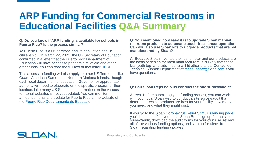#### **Q: Do you know if ARP funding is available for schools in Puerto Rico? Is the process similar?**

**A:** Puerto Rico is a US territory, and its population has US citizenship. On March 22, 2021, the US Secretary of Education confirmed in a letter that the Puerto Rico Department of Education will have access to pandemic relief aid and other grant funds. You can read the full text of that letter [HERE.](https://www.ed.gov/news/press-releases/us-secretary-education-miguel-cardona-provides-puerto-rico-department-education-access-pandemic-relief-aid-and-other-grant-funds)

This access to funding will also apply to other US Territories like Guam, American Samoa, the Northern Mariana Islands, though each local department of education, Governor, or appropriate authority will need to elaborate on the specific process for their location. Like many US States, the information on the various territorial websites is not yet updated. You can monitor announcements and update for Puerto Rico at the website of the [Puerto Rico Departamento](https://de.pr.gov/) de Educacion.

**Q: You mentioned how easy it is to upgrade Sloan manual restroom products to automatic touch-free sensor operation. Can you also use Sloan kits to upgrade products that are not manufactured by Sloan?**

**A:** Because Sloan invented the flushometer and our products are the basis of design for most manufacturers, it is likely that these kits (both top- and side-mount) will fit other brands. Contact our Technical Support Department at [techsupport@sloan.com](mailto:techsupport@sloan.com) if you have questions.

#### **Q: Can Sloan Reps help us conduct the site survey/audit?**

**A:** Yes. Before submitting your funding request, you can work with your local Sloan Rep to conduct a site survey/audit that determines which products are best for your facility, how many you need, and what they might cost.

If you go to the [Sloan Coronavirus Relief Stimulus landing page](https://www.sloan.com/resources/education/coronavirus-relief-funding), you'll be able to find your local Sloan Rep, sign up for the site survey/audit, download the audit forms for your own use, review all of the various funding options, and sign up for alerts from Sloan regarding funding updates.

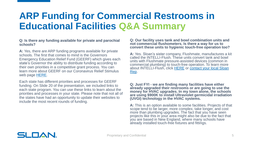#### **Q: Is there any funding available for private and parochial schools?**

**A:** Yes, there are ARP funding programs available for private schools. The first that comes to mind is the Governors Emergency Education Relief Fund (GEERF) which gives each state's Governor the ability to distribute funding according to their own priorities in a competitive grant process. You can learn more about GEERF on our Coronavirus Relief Stimulus web page [HERE](https://www.sloan.com/resources/education/coronavirus-relief-funding).

Each state has different priorities and processes for GEERF funding. On Slide 20 of the presentation, we included links to each state program. You can use these links to learn about the priorities and processes in your state. Please note that not all of the states have had an opportunity to update their websites to include the most recent rounds of funding.

#### **Q: Our facility uses tank and bowl combination units and not commercial flushometers. Is there a way for us to convert these units to hygienic touch-free operation too?**

**A:** Yes. Sloan's sister company, Flushmate, manufactures a kit called the INTELLI-Flush. These units convert tank and bowl units with Flushmate pressure-assisted devices (common in commercial plumbing) to touch-free operation. To learn more [about INTELLI-Flush, click HERE](https://www.sloan.com/company/support/where-to-buy) or contact your local Sloan Rep.

**Q: Just FYI - we are finding many facilities have either already upgraded their restrooms or are going to use the money for HVAC upgrades. In my town alone, the schools are using \$900K to install Ultraviolet germicidal irradiation (UVGI) technology in the HVAC systems.** 

**A:** This is an option available to some facilities. Projects of that scope tend to be larger, more complex, take longer, and cost more than plumbing upgrades. The fact that you have seen projects like this in your area might also be due to the fact that you are based in New England, where many schools have already installed touch-free fixtures and fittings.

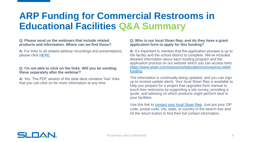#### **Q: Please send us the webinars that include related products and information. Where can we find those?**

**A:** For links to all related webinar recordings and presentations, please click [HERE](https://www.sloan.com/resources/education/webinars#!past).

#### **Q: I'm not able to click on the links. Will you be sending these separately after the webinar?**

**A:** Yes. The PDF version of the slide deck contains "live" links that you can click on for more information at any time.

#### **Q: Who is our local Sloan Rep, and do they have a grant application form to apply for this funding?**

**A:** It's important to mention that the application process is up to the facility and the school district to complete. We've included detailed information about each funding program and the application process on our website which you can access here: [https://www.sloan.com/resources/education/coronavirus-relief](https://www.sloan.com/resources/education/coronavirus-relief-funding)funding.

The information is continually being updated, and you can sign up to receive update alerts. Your local Sloan Rep is available to help you prepare for a project that upgrades from manual to touch-free restrooms by supporting a site survey, providing a quote, and advising on which products might perform best in your facilities.

Use this link to [contact your local Sloan Rep.](https://www.sloan.com/company/support/where-to-buy) Just put your ZIP code, postal code, city, state, or country in the search box and hit the return button to find their full contact information.

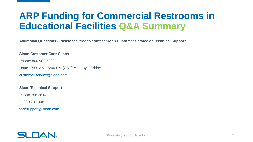**Additional Questions? Please feel free to contact Sloan Customer Service or Technical Support.**

#### **Sloan Customer Care Center**

Phone: 800.982.5839

Hours: 7:00 AM - 5:00 PM (CST) Monday – Friday

[customer.service@sloan.com](mailto:customer.service@sloan.com)

#### **Sloan Technical Support**

P: 888.756.2614

F: 800.737.3061

[techsupport@sloan.com](mailto:techsupport@sloan.com)